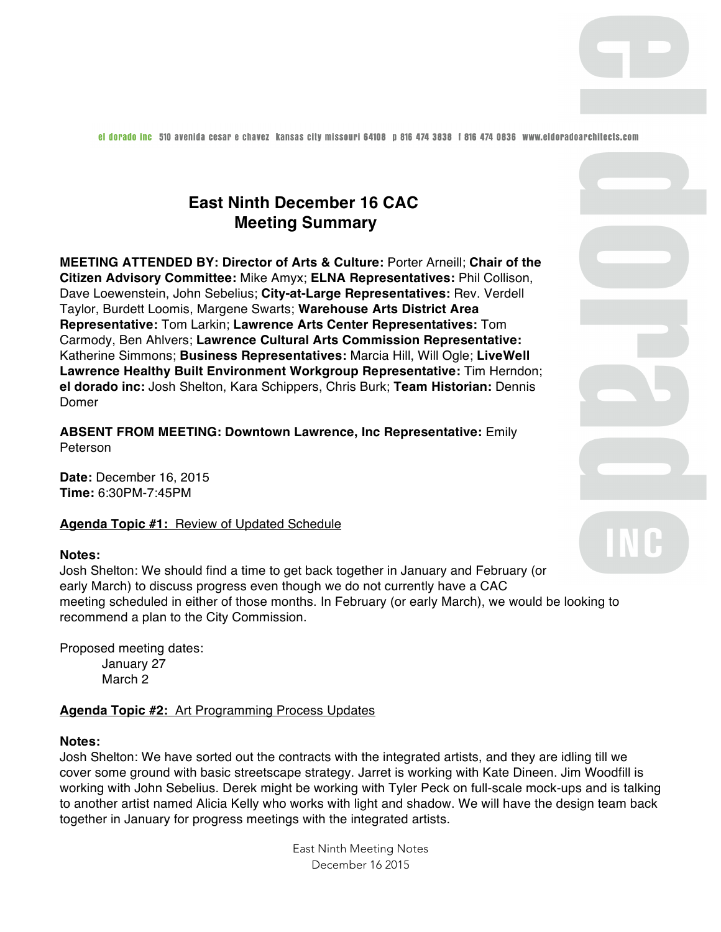el dorado inc 510 avenida cesar e chavez kansas cily missouri 64108 p 816 474 3838 i 816 474 0836 www.eldoradoarchilecis.com

# **East Ninth December 16 CAC Meeting Summary**

**MEETING ATTENDED BY: Director of Arts & Culture:** Porter Arneill; **Chair of the Citizen Advisory Committee:** Mike Amyx; **ELNA Representatives:** Phil Collison, Dave Loewenstein, John Sebelius; **City-at-Large Representatives:** Rev. Verdell Taylor, Burdett Loomis, Margene Swarts; **Warehouse Arts District Area Representative:** Tom Larkin; **Lawrence Arts Center Representatives:** Tom Carmody, Ben Ahlvers; **Lawrence Cultural Arts Commission Representative:**  Katherine Simmons; **Business Representatives:** Marcia Hill, Will Ogle; **LiveWell Lawrence Healthy Built Environment Workgroup Representative:** Tim Herndon; **el dorado inc:** Josh Shelton, Kara Schippers, Chris Burk; **Team Historian:** Dennis Domer

**ABSENT FROM MEETING: Downtown Lawrence, Inc Representative:** Emily Peterson

**Date:** December 16, 2015 **Time:** 6:30PM-7:45PM

**Agenda Topic #1:** Review of Updated Schedule

## **Notes:**

Josh Shelton: We should find a time to get back together in January and February (or early March) to discuss progress even though we do not currently have a CAC meeting scheduled in either of those months. In February (or early March), we would be looking to recommend a plan to the City Commission.

Proposed meeting dates: January 27 March 2

**Agenda Topic #2:** Art Programming Process Updates

#### **Notes:**

Josh Shelton: We have sorted out the contracts with the integrated artists, and they are idling till we cover some ground with basic streetscape strategy. Jarret is working with Kate Dineen. Jim Woodfill is working with John Sebelius. Derek might be working with Tyler Peck on full-scale mock-ups and is talking to another artist named Alicia Kelly who works with light and shadow. We will have the design team back together in January for progress meetings with the integrated artists.

> East Ninth Meeting Notes December 16 2015

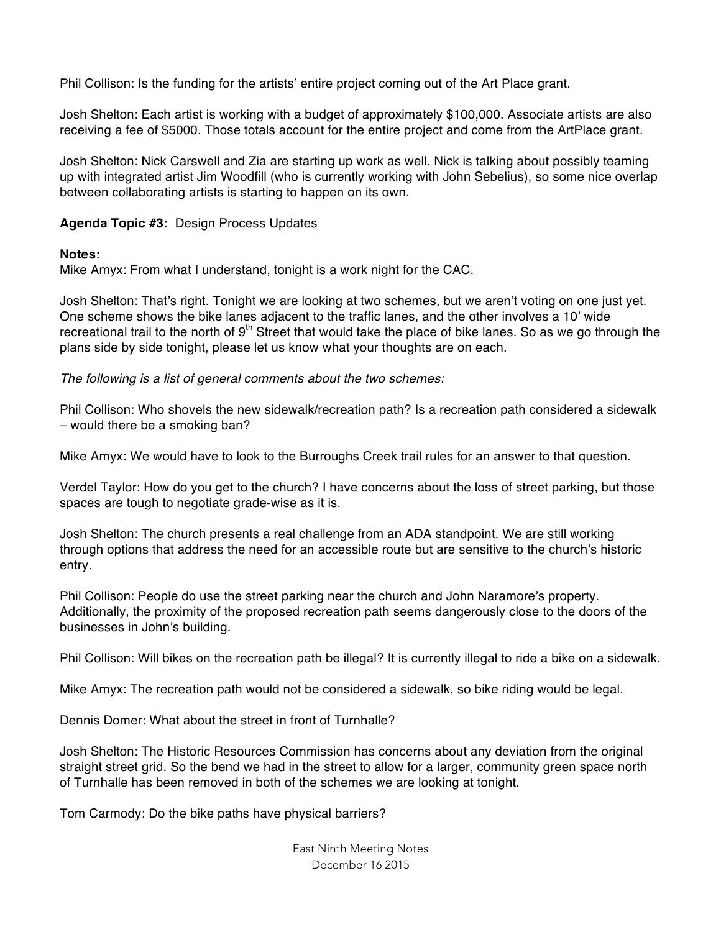Phil Collison: Is the funding for the artists' entire project coming out of the Art Place grant.

Josh Shelton: Each artist is working with a budget of approximately \$100,000. Associate artists are also receiving a fee of \$5000. Those totals account for the entire project and come from the ArtPlace grant.

Josh Shelton: Nick Carswell and Zia are starting up work as well. Nick is talking about possibly teaming up with integrated artist Jim Woodfill (who is currently working with John Sebelius), so some nice overlap between collaborating artists is starting to happen on its own.

# **Agenda Topic #3:** Design Process Updates

## **Notes:**

Mike Amyx: From what I understand, tonight is a work night for the CAC.

Josh Shelton: That's right. Tonight we are looking at two schemes, but we aren't voting on one just yet. One scheme shows the bike lanes adjacent to the traffic lanes, and the other involves a 10' wide recreational trail to the north of  $9<sup>th</sup>$  Street that would take the place of bike lanes. So as we go through the plans side by side tonight, please let us know what your thoughts are on each.

*The following is a list of general comments about the two schemes:* 

Phil Collison: Who shovels the new sidewalk/recreation path? Is a recreation path considered a sidewalk – would there be a smoking ban?

Mike Amyx: We would have to look to the Burroughs Creek trail rules for an answer to that question.

Verdel Taylor: How do you get to the church? I have concerns about the loss of street parking, but those spaces are tough to negotiate grade-wise as it is.

Josh Shelton: The church presents a real challenge from an ADA standpoint. We are still working through options that address the need for an accessible route but are sensitive to the church's historic entry.

Phil Collison: People do use the street parking near the church and John Naramore's property. Additionally, the proximity of the proposed recreation path seems dangerously close to the doors of the businesses in John's building.

Phil Collison: Will bikes on the recreation path be illegal? It is currently illegal to ride a bike on a sidewalk.

Mike Amyx: The recreation path would not be considered a sidewalk, so bike riding would be legal.

Dennis Domer: What about the street in front of Turnhalle?

Josh Shelton: The Historic Resources Commission has concerns about any deviation from the original straight street grid. So the bend we had in the street to allow for a larger, community green space north of Turnhalle has been removed in both of the schemes we are looking at tonight.

Tom Carmody: Do the bike paths have physical barriers?

East Ninth Meeting Notes December 16 2015